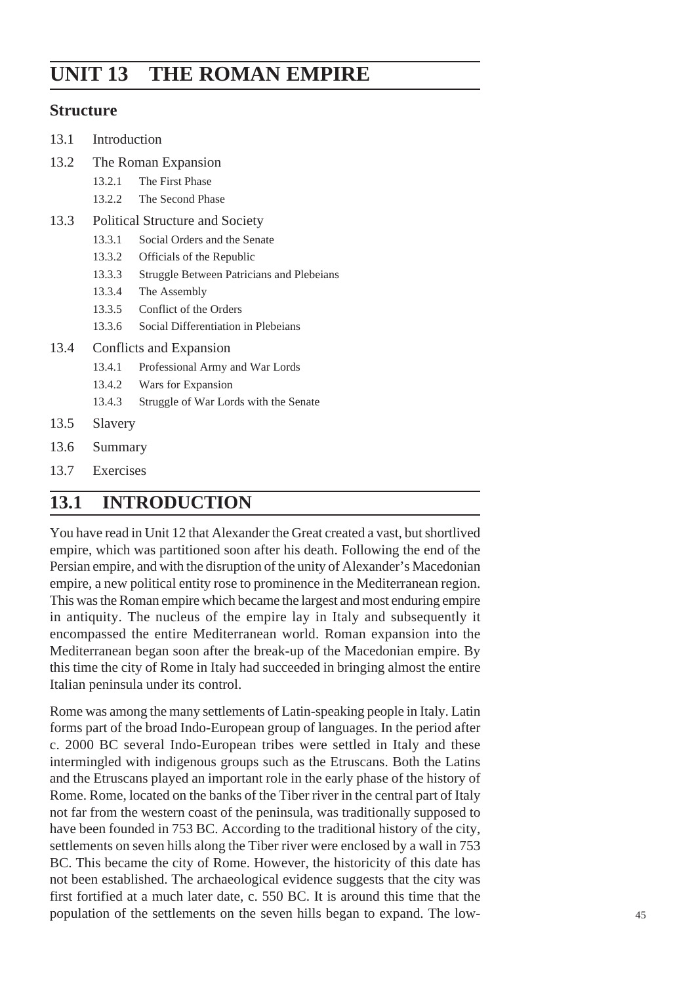# **UNIT 13 THE ROMAN EMPIRE**

## **Structure**

| 13.1<br>Introduction |
|----------------------|
|----------------------|

- 13.2 The Roman Expansion
	- 13.2.1 The First Phase
	- 13.2.2 The Second Phase
- 13.3 Political Structure and Society
	- 13.3.1 Social Orders and the Senate
	- 13.3.2 Officials of the Republic
	- 13.3.3 Struggle Between Patricians and Plebeians
	- 13.3.4 The Assembly
	- 13.3.5 Conflict of the Orders
	- 13.3.6 Social Differentiation in Plebeians
- 13.4 Conflicts and Expansion
	- 13.4.1 Professional Army and War Lords
	- 13.4.2 Wars for Expansion
	- 13.4.3 Struggle of War Lords with the Senate
- 13.5 Slavery
- 13.6 Summary
- 13.7 Exercises

## **13.1 INTRODUCTION**

You have read in Unit 12 that Alexander the Great created a vast, but shortlived empire, which was partitioned soon after his death. Following the end of the Persian empire, and with the disruption of the unity of Alexander's Macedonian empire, a new political entity rose to prominence in the Mediterranean region. This was the Roman empire which became the largest and most enduring empire in antiquity. The nucleus of the empire lay in Italy and subsequently it encompassed the entire Mediterranean world. Roman expansion into the Mediterranean began soon after the break-up of the Macedonian empire. By this time the city of Rome in Italy had succeeded in bringing almost the entire Italian peninsula under its control.

Rome was among the many settlements of Latin-speaking people in Italy. Latin forms part of the broad Indo-European group of languages. In the period after c. 2000 BC several Indo-European tribes were settled in Italy and these intermingled with indigenous groups such as the Etruscans. Both the Latins and the Etruscans played an important role in the early phase of the history of Rome. Rome, located on the banks of the Tiber river in the central part of Italy not far from the western coast of the peninsula, was traditionally supposed to have been founded in 753 BC. According to the traditional history of the city, settlements on seven hills along the Tiber river were enclosed by a wall in 753 BC. This became the city of Rome. However, the historicity of this date has not been established. The archaeological evidence suggests that the city was first fortified at a much later date, c. 550 BC. It is around this time that the population of the settlements on the seven hills began to expand. The low- 45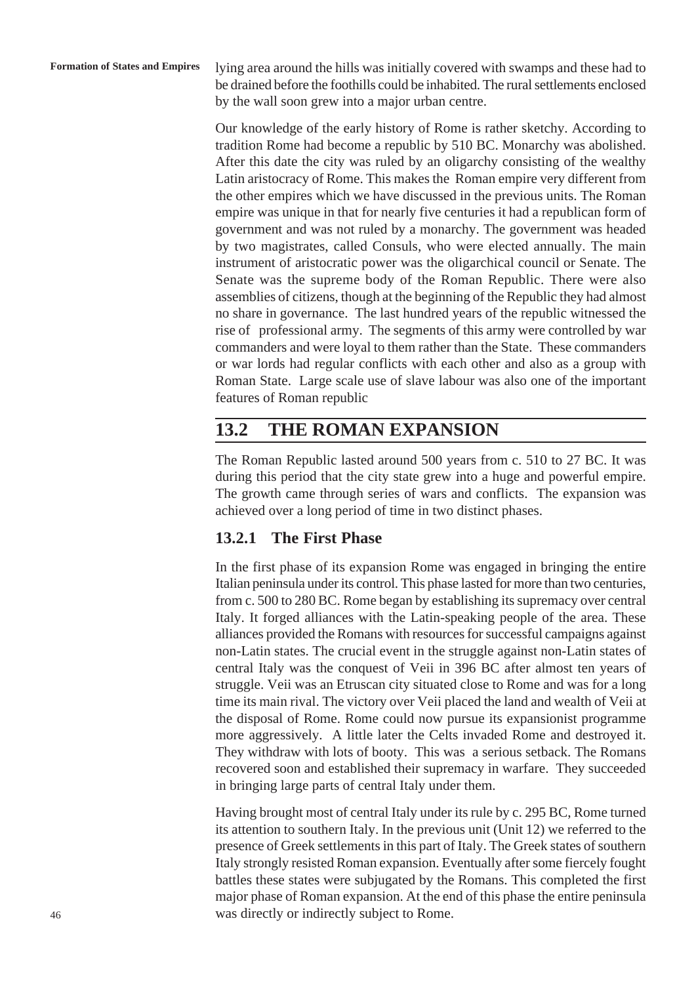lying area around the hills was initially covered with swamps and these had to be drained before the foothills could be inhabited. The rural settlements enclosed by the wall soon grew into a major urban centre.

Our knowledge of the early history of Rome is rather sketchy. According to tradition Rome had become a republic by 510 BC. Monarchy was abolished. After this date the city was ruled by an oligarchy consisting of the wealthy Latin aristocracy of Rome. This makes the Roman empire very different from the other empires which we have discussed in the previous units. The Roman empire was unique in that for nearly five centuries it had a republican form of government and was not ruled by a monarchy. The government was headed by two magistrates, called Consuls, who were elected annually. The main instrument of aristocratic power was the oligarchical council or Senate. The Senate was the supreme body of the Roman Republic. There were also assemblies of citizens, though at the beginning of the Republic they had almost no share in governance. The last hundred years of the republic witnessed the rise of professional army. The segments of this army were controlled by war commanders and were loyal to them rather than the State. These commanders or war lords had regular conflicts with each other and also as a group with Roman State. Large scale use of slave labour was also one of the important features of Roman republic

# **13.2 THE ROMAN EXPANSION**

The Roman Republic lasted around 500 years from c. 510 to 27 BC. It was during this period that the city state grew into a huge and powerful empire. The growth came through series of wars and conflicts. The expansion was achieved over a long period of time in two distinct phases.

## **13.2.1 The First Phase**

In the first phase of its expansion Rome was engaged in bringing the entire Italian peninsula under its control. This phase lasted for more than two centuries, from c. 500 to 280 BC. Rome began by establishing its supremacy over central Italy. It forged alliances with the Latin-speaking people of the area. These alliances provided the Romans with resources for successful campaigns against non-Latin states. The crucial event in the struggle against non-Latin states of central Italy was the conquest of Veii in 396 BC after almost ten years of struggle. Veii was an Etruscan city situated close to Rome and was for a long time its main rival. The victory over Veii placed the land and wealth of Veii at the disposal of Rome. Rome could now pursue its expansionist programme more aggressively. A little later the Celts invaded Rome and destroyed it. They withdraw with lots of booty. This was a serious setback. The Romans recovered soon and established their supremacy in warfare. They succeeded in bringing large parts of central Italy under them.

Having brought most of central Italy under its rule by c. 295 BC, Rome turned its attention to southern Italy. In the previous unit (Unit 12) we referred to the presence of Greek settlements in this part of Italy. The Greek states of southern Italy strongly resisted Roman expansion. Eventually after some fiercely fought battles these states were subjugated by the Romans. This completed the first major phase of Roman expansion. At the end of this phase the entire peninsula was directly or indirectly subject to Rome.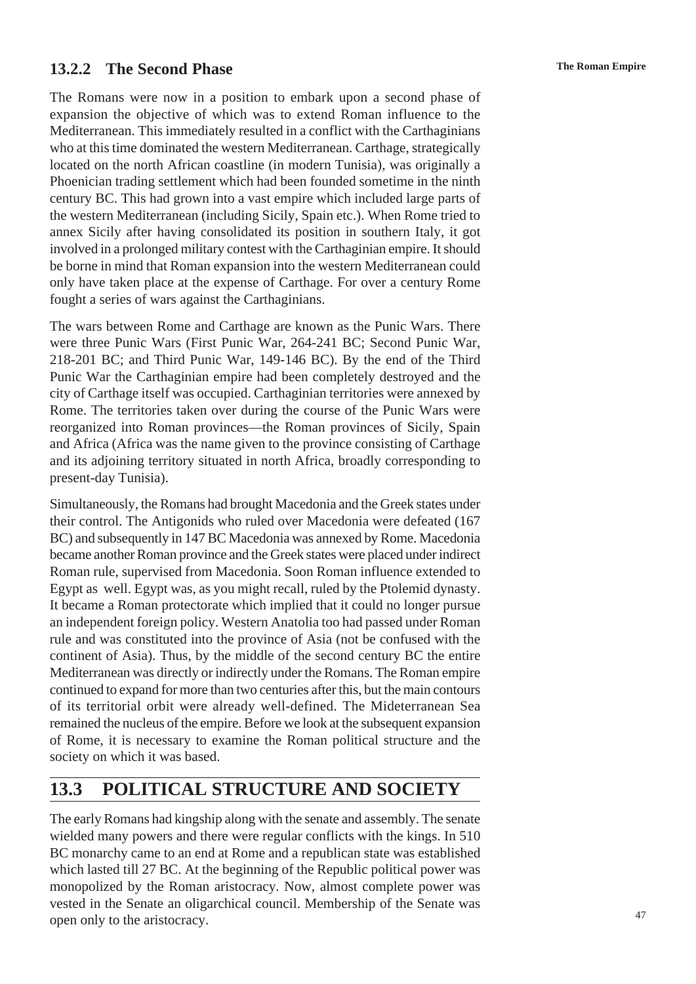## **The Roman Empire 13.2.2 The Second Phase**

The Romans were now in a position to embark upon a second phase of expansion the objective of which was to extend Roman influence to the Mediterranean. This immediately resulted in a conflict with the Carthaginians who at this time dominated the western Mediterranean. Carthage, strategically located on the north African coastline (in modern Tunisia), was originally a Phoenician trading settlement which had been founded sometime in the ninth century BC. This had grown into a vast empire which included large parts of the western Mediterranean (including Sicily, Spain etc.). When Rome tried to annex Sicily after having consolidated its position in southern Italy, it got involved in a prolonged military contest with the Carthaginian empire. It should be borne in mind that Roman expansion into the western Mediterranean could only have taken place at the expense of Carthage. For over a century Rome fought a series of wars against the Carthaginians.

The wars between Rome and Carthage are known as the Punic Wars. There were three Punic Wars (First Punic War, 264-241 BC; Second Punic War, 218-201 BC; and Third Punic War, 149-146 BC). By the end of the Third Punic War the Carthaginian empire had been completely destroyed and the city of Carthage itself was occupied. Carthaginian territories were annexed by Rome. The territories taken over during the course of the Punic Wars were reorganized into Roman provinces—the Roman provinces of Sicily, Spain and Africa (Africa was the name given to the province consisting of Carthage and its adjoining territory situated in north Africa, broadly corresponding to present-day Tunisia).

Simultaneously, the Romans had brought Macedonia and the Greek states under their control. The Antigonids who ruled over Macedonia were defeated (167 BC) and subsequently in 147 BC Macedonia was annexed by Rome. Macedonia became another Roman province and the Greek states were placed under indirect Roman rule, supervised from Macedonia. Soon Roman influence extended to Egypt as well. Egypt was, as you might recall, ruled by the Ptolemid dynasty. It became a Roman protectorate which implied that it could no longer pursue an independent foreign policy. Western Anatolia too had passed under Roman rule and was constituted into the province of Asia (not be confused with the continent of Asia). Thus, by the middle of the second century BC the entire Mediterranean was directly or indirectly under the Romans. The Roman empire continued to expand for more than two centuries after this, but the main contours of its territorial orbit were already well-defined. The Mideterranean Sea remained the nucleus of the empire. Before we look at the subsequent expansion of Rome, it is necessary to examine the Roman political structure and the society on which it was based.

## **13.3 POLITICAL STRUCTURE AND SOCIETY**

The early Romans had kingship along with the senate and assembly. The senate wielded many powers and there were regular conflicts with the kings. In 510 BC monarchy came to an end at Rome and a republican state was established which lasted till 27 BC. At the beginning of the Republic political power was monopolized by the Roman aristocracy. Now, almost complete power was vested in the Senate an oligarchical council. Membership of the Senate was open only to the aristocracy.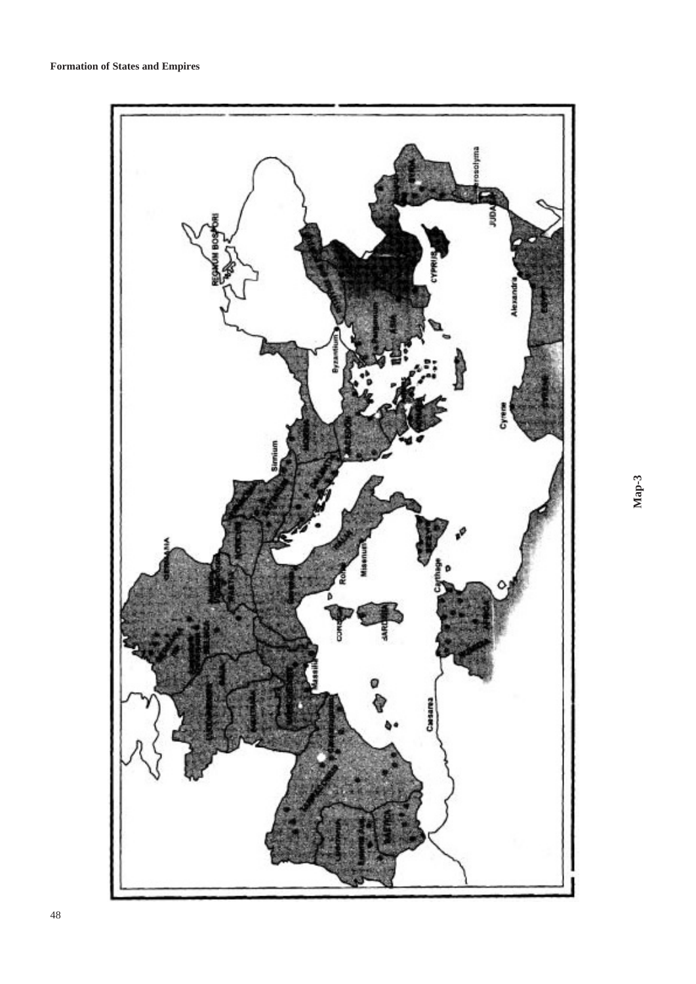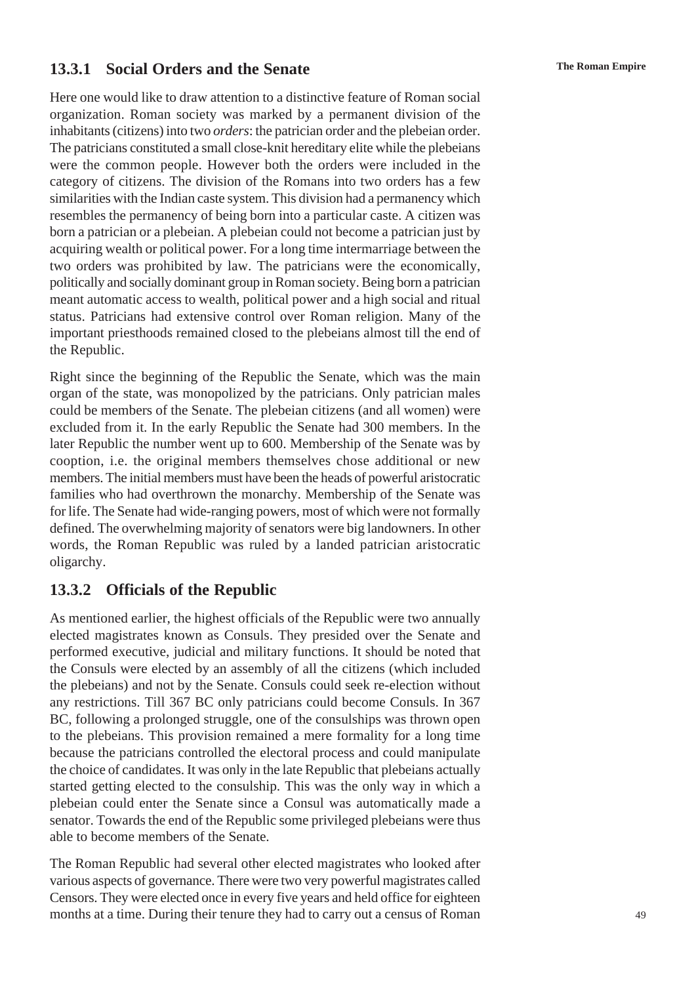## **The Roman Empire 13.3.1 Social Orders and the Senate**

Here one would like to draw attention to a distinctive feature of Roman social organization. Roman society was marked by a permanent division of the inhabitants (citizens) into two *orders*: the patrician order and the plebeian order. The patricians constituted a small close-knit hereditary elite while the plebeians were the common people. However both the orders were included in the category of citizens. The division of the Romans into two orders has a few similarities with the Indian caste system. This division had a permanency which resembles the permanency of being born into a particular caste. A citizen was born a patrician or a plebeian. A plebeian could not become a patrician just by acquiring wealth or political power. For a long time intermarriage between the two orders was prohibited by law. The patricians were the economically, politically and socially dominant group in Roman society. Being born a patrician meant automatic access to wealth, political power and a high social and ritual status. Patricians had extensive control over Roman religion. Many of the important priesthoods remained closed to the plebeians almost till the end of the Republic.

Right since the beginning of the Republic the Senate, which was the main organ of the state, was monopolized by the patricians. Only patrician males could be members of the Senate. The plebeian citizens (and all women) were excluded from it. In the early Republic the Senate had 300 members. In the later Republic the number went up to 600. Membership of the Senate was by cooption, i.e. the original members themselves chose additional or new members. The initial members must have been the heads of powerful aristocratic families who had overthrown the monarchy. Membership of the Senate was for life. The Senate had wide-ranging powers, most of which were not formally defined. The overwhelming majority of senators were big landowners. In other words, the Roman Republic was ruled by a landed patrician aristocratic oligarchy.

## **13.3.2 Officials of the Republic**

As mentioned earlier, the highest officials of the Republic were two annually elected magistrates known as Consuls. They presided over the Senate and performed executive, judicial and military functions. It should be noted that the Consuls were elected by an assembly of all the citizens (which included the plebeians) and not by the Senate. Consuls could seek re-election without any restrictions. Till 367 BC only patricians could become Consuls. In 367 BC, following a prolonged struggle, one of the consulships was thrown open to the plebeians. This provision remained a mere formality for a long time because the patricians controlled the electoral process and could manipulate the choice of candidates. It was only in the late Republic that plebeians actually started getting elected to the consulship. This was the only way in which a plebeian could enter the Senate since a Consul was automatically made a senator. Towards the end of the Republic some privileged plebeians were thus able to become members of the Senate.

The Roman Republic had several other elected magistrates who looked after various aspects of governance. There were two very powerful magistrates called Censors. They were elected once in every five years and held office for eighteen months at a time. During their tenure they had to carry out a census of Roman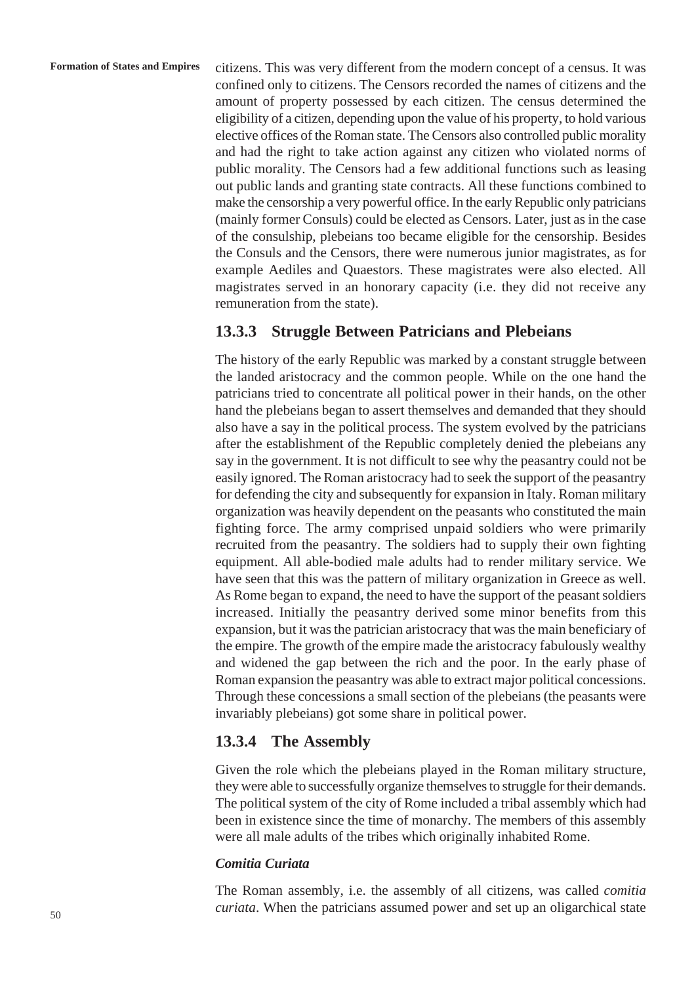citizens. This was very different from the modern concept of a census. It was confined only to citizens. The Censors recorded the names of citizens and the amount of property possessed by each citizen. The census determined the eligibility of a citizen, depending upon the value of his property, to hold various elective offices of the Roman state. The Censors also controlled public morality and had the right to take action against any citizen who violated norms of public morality. The Censors had a few additional functions such as leasing out public lands and granting state contracts. All these functions combined to make the censorship a very powerful office. In the early Republic only patricians (mainly former Consuls) could be elected as Censors. Later, just as in the case of the consulship, plebeians too became eligible for the censorship. Besides the Consuls and the Censors, there were numerous junior magistrates, as for example Aediles and Quaestors. These magistrates were also elected. All magistrates served in an honorary capacity (i.e. they did not receive any remuneration from the state).

## **13.3.3 Struggle Between Patricians and Plebeians**

The history of the early Republic was marked by a constant struggle between the landed aristocracy and the common people. While on the one hand the patricians tried to concentrate all political power in their hands, on the other hand the plebeians began to assert themselves and demanded that they should also have a say in the political process. The system evolved by the patricians after the establishment of the Republic completely denied the plebeians any say in the government. It is not difficult to see why the peasantry could not be easily ignored. The Roman aristocracy had to seek the support of the peasantry for defending the city and subsequently for expansion in Italy. Roman military organization was heavily dependent on the peasants who constituted the main fighting force. The army comprised unpaid soldiers who were primarily recruited from the peasantry. The soldiers had to supply their own fighting equipment. All able-bodied male adults had to render military service. We have seen that this was the pattern of military organization in Greece as well. As Rome began to expand, the need to have the support of the peasant soldiers increased. Initially the peasantry derived some minor benefits from this expansion, but it was the patrician aristocracy that was the main beneficiary of the empire. The growth of the empire made the aristocracy fabulously wealthy and widened the gap between the rich and the poor. In the early phase of Roman expansion the peasantry was able to extract major political concessions. Through these concessions a small section of the plebeians (the peasants were invariably plebeians) got some share in political power.

## **13.3.4 The Assembly**

Given the role which the plebeians played in the Roman military structure, they were able to successfully organize themselves to struggle for their demands. The political system of the city of Rome included a tribal assembly which had been in existence since the time of monarchy. The members of this assembly were all male adults of the tribes which originally inhabited Rome.

#### *Comitia Curiata*

The Roman assembly, i.e. the assembly of all citizens, was called *comitia curiata*. When the patricians assumed power and set up an oligarchical state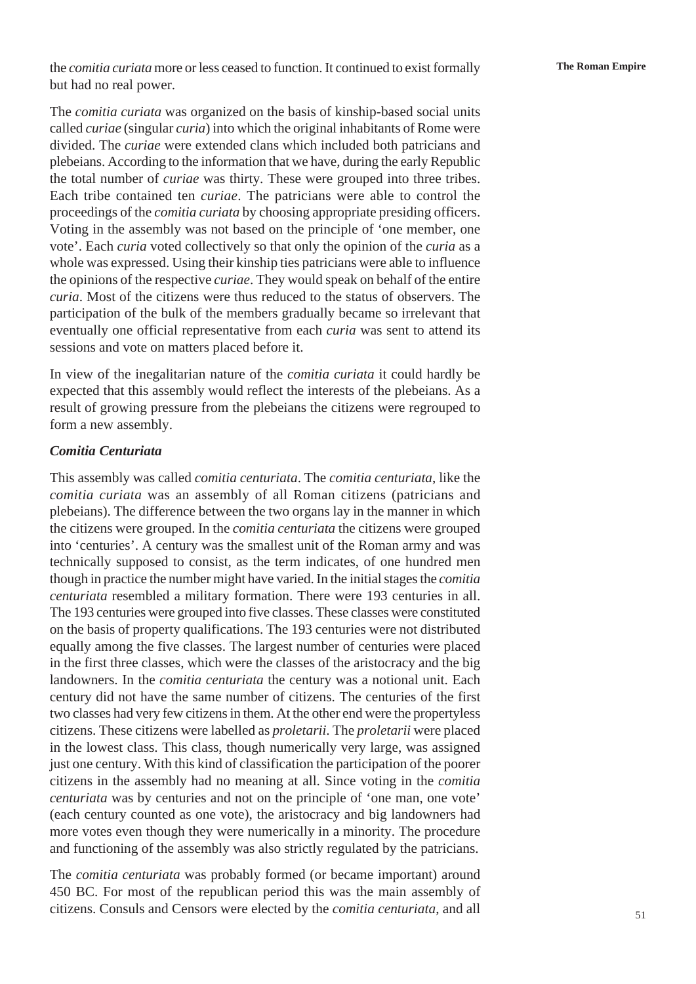the *comitia curiata* more or less ceased to function. It continued to exist formally **The Roman Empire** but had no real power.

The *comitia curiata* was organized on the basis of kinship-based social units called *curiae* (singular *curia*) into which the original inhabitants of Rome were divided. The *curiae* were extended clans which included both patricians and plebeians. According to the information that we have, during the early Republic the total number of *curiae* was thirty. These were grouped into three tribes. Each tribe contained ten *curiae*. The patricians were able to control the proceedings of the *comitia curiata* by choosing appropriate presiding officers. Voting in the assembly was not based on the principle of 'one member, one vote'. Each *curia* voted collectively so that only the opinion of the *curia* as a whole was expressed. Using their kinship ties patricians were able to influence the opinions of the respective *curiae*. They would speak on behalf of the entire *curia*. Most of the citizens were thus reduced to the status of observers. The participation of the bulk of the members gradually became so irrelevant that eventually one official representative from each *curia* was sent to attend its sessions and vote on matters placed before it.

In view of the inegalitarian nature of the *comitia curiata* it could hardly be expected that this assembly would reflect the interests of the plebeians. As a result of growing pressure from the plebeians the citizens were regrouped to form a new assembly.

#### *Comitia Centuriata*

This assembly was called *comitia centuriata*. The *comitia centuriata*, like the *comitia curiata* was an assembly of all Roman citizens (patricians and plebeians). The difference between the two organs lay in the manner in which the citizens were grouped. In the *comitia centuriata* the citizens were grouped into 'centuries'. A century was the smallest unit of the Roman army and was technically supposed to consist, as the term indicates, of one hundred men though in practice the number might have varied. In the initial stages the *comitia centuriata* resembled a military formation. There were 193 centuries in all. The 193 centuries were grouped into five classes. These classes were constituted on the basis of property qualifications. The 193 centuries were not distributed equally among the five classes. The largest number of centuries were placed in the first three classes, which were the classes of the aristocracy and the big landowners. In the *comitia centuriata* the century was a notional unit. Each century did not have the same number of citizens. The centuries of the first two classes had very few citizens in them. At the other end were the propertyless citizens. These citizens were labelled as *proletarii*. The *proletarii* were placed in the lowest class. This class, though numerically very large, was assigned just one century. With this kind of classification the participation of the poorer citizens in the assembly had no meaning at all. Since voting in the *comitia centuriata* was by centuries and not on the principle of 'one man, one vote' (each century counted as one vote), the aristocracy and big landowners had more votes even though they were numerically in a minority. The procedure and functioning of the assembly was also strictly regulated by the patricians.

The *comitia centuriata* was probably formed (or became important) around 450 BC. For most of the republican period this was the main assembly of citizens. Consuls and Censors were elected by the *comitia centuriata*, and all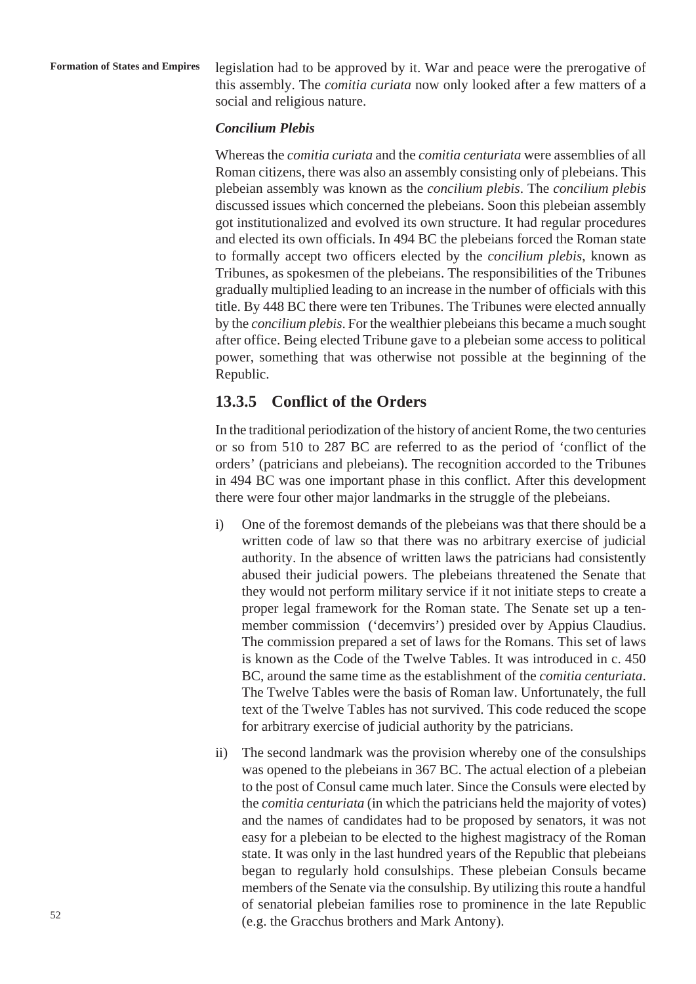legislation had to be approved by it. War and peace were the prerogative of this assembly. The *comitia curiata* now only looked after a few matters of a social and religious nature.

#### *Concilium Plebis*

Whereas the *comitia curiata* and the *comitia centuriata* were assemblies of all Roman citizens, there was also an assembly consisting only of plebeians. This plebeian assembly was known as the *concilium plebis*. The *concilium plebis* discussed issues which concerned the plebeians. Soon this plebeian assembly got institutionalized and evolved its own structure. It had regular procedures and elected its own officials. In 494 BC the plebeians forced the Roman state to formally accept two officers elected by the *concilium plebis*, known as Tribunes, as spokesmen of the plebeians. The responsibilities of the Tribunes gradually multiplied leading to an increase in the number of officials with this title. By 448 BC there were ten Tribunes. The Tribunes were elected annually by the *concilium plebis*. For the wealthier plebeians this became a much sought after office. Being elected Tribune gave to a plebeian some access to political power, something that was otherwise not possible at the beginning of the Republic.

## **13.3.5 Conflict of the Orders**

In the traditional periodization of the history of ancient Rome, the two centuries or so from 510 to 287 BC are referred to as the period of 'conflict of the orders' (patricians and plebeians). The recognition accorded to the Tribunes in 494 BC was one important phase in this conflict. After this development there were four other major landmarks in the struggle of the plebeians.

- i) One of the foremost demands of the plebeians was that there should be a written code of law so that there was no arbitrary exercise of judicial authority. In the absence of written laws the patricians had consistently abused their judicial powers. The plebeians threatened the Senate that they would not perform military service if it not initiate steps to create a proper legal framework for the Roman state. The Senate set up a tenmember commission ('decemvirs') presided over by Appius Claudius. The commission prepared a set of laws for the Romans. This set of laws is known as the Code of the Twelve Tables. It was introduced in c. 450 BC, around the same time as the establishment of the *comitia centuriata*. The Twelve Tables were the basis of Roman law. Unfortunately, the full text of the Twelve Tables has not survived. This code reduced the scope for arbitrary exercise of judicial authority by the patricians.
- ii) The second landmark was the provision whereby one of the consulships was opened to the plebeians in 367 BC. The actual election of a plebeian to the post of Consul came much later. Since the Consuls were elected by the *comitia centuriata* (in which the patricians held the majority of votes) and the names of candidates had to be proposed by senators, it was not easy for a plebeian to be elected to the highest magistracy of the Roman state. It was only in the last hundred years of the Republic that plebeians began to regularly hold consulships. These plebeian Consuls became members of the Senate via the consulship. By utilizing this route a handful of senatorial plebeian families rose to prominence in the late Republic (e.g. the Gracchus brothers and Mark Antony).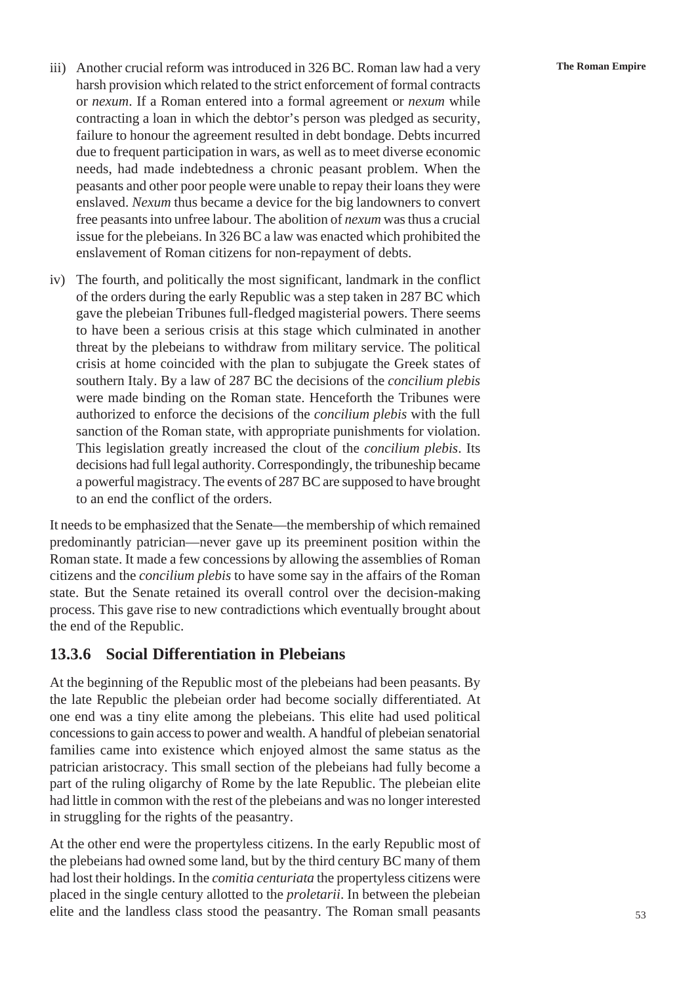- iii) Another crucial reform was introduced in 326 BC. Roman law had a very **The Roman Empire** harsh provision which related to the strict enforcement of formal contracts or *nexum*. If a Roman entered into a formal agreement or *nexum* while contracting a loan in which the debtor's person was pledged as security, failure to honour the agreement resulted in debt bondage. Debts incurred due to frequent participation in wars, as well as to meet diverse economic needs, had made indebtedness a chronic peasant problem. When the peasants and other poor people were unable to repay their loans they were enslaved. *Nexum* thus became a device for the big landowners to convert free peasants into unfree labour. The abolition of *nexum* was thus a crucial issue for the plebeians. In 326 BC a law was enacted which prohibited the enslavement of Roman citizens for non-repayment of debts.
- iv) The fourth, and politically the most significant, landmark in the conflict of the orders during the early Republic was a step taken in 287 BC which gave the plebeian Tribunes full-fledged magisterial powers. There seems to have been a serious crisis at this stage which culminated in another threat by the plebeians to withdraw from military service. The political crisis at home coincided with the plan to subjugate the Greek states of southern Italy. By a law of 287 BC the decisions of the *concilium plebis* were made binding on the Roman state. Henceforth the Tribunes were authorized to enforce the decisions of the *concilium plebis* with the full sanction of the Roman state, with appropriate punishments for violation. This legislation greatly increased the clout of the *concilium plebis*. Its decisions had full legal authority. Correspondingly, the tribuneship became a powerful magistracy. The events of 287 BC are supposed to have brought to an end the conflict of the orders.

It needs to be emphasized that the Senate—the membership of which remained predominantly patrician—never gave up its preeminent position within the Roman state. It made a few concessions by allowing the assemblies of Roman citizens and the *concilium plebis* to have some say in the affairs of the Roman state. But the Senate retained its overall control over the decision-making process. This gave rise to new contradictions which eventually brought about the end of the Republic.

## **13.3.6 Social Differentiation in Plebeians**

At the beginning of the Republic most of the plebeians had been peasants. By the late Republic the plebeian order had become socially differentiated. At one end was a tiny elite among the plebeians. This elite had used political concessions to gain access to power and wealth. A handful of plebeian senatorial families came into existence which enjoyed almost the same status as the patrician aristocracy. This small section of the plebeians had fully become a part of the ruling oligarchy of Rome by the late Republic. The plebeian elite had little in common with the rest of the plebeians and was no longer interested in struggling for the rights of the peasantry.

At the other end were the propertyless citizens. In the early Republic most of the plebeians had owned some land, but by the third century BC many of them had lost their holdings. In the *comitia centuriata* the propertyless citizens were placed in the single century allotted to the *proletarii*. In between the plebeian elite and the landless class stood the peasantry. The Roman small peasants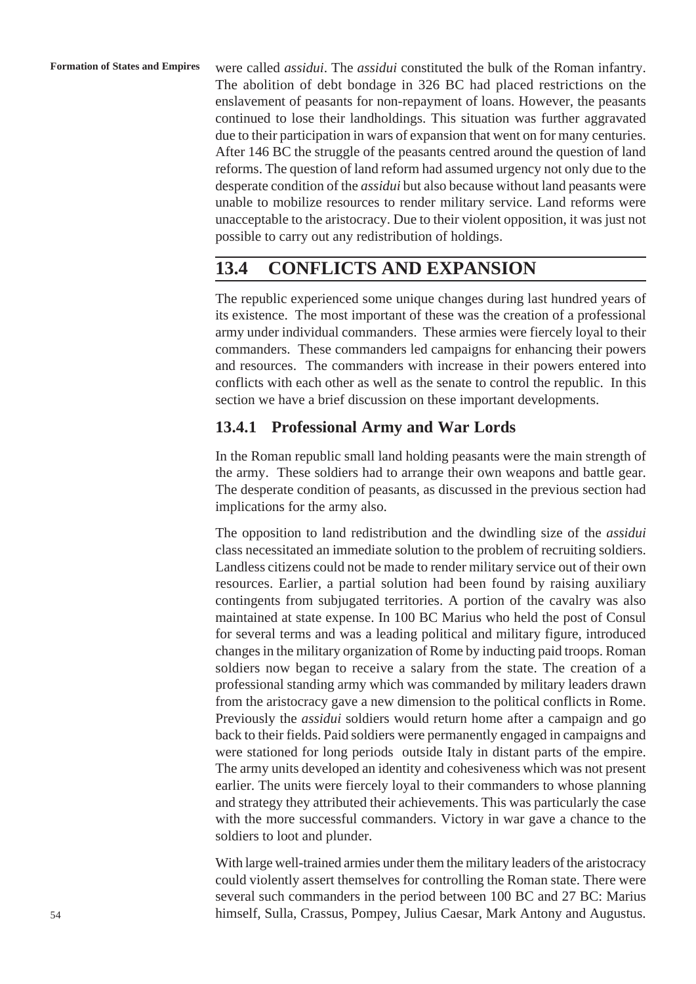were called *assidui*. The *assidui* constituted the bulk of the Roman infantry. The abolition of debt bondage in 326 BC had placed restrictions on the enslavement of peasants for non-repayment of loans. However, the peasants continued to lose their landholdings. This situation was further aggravated due to their participation in wars of expansion that went on for many centuries. After 146 BC the struggle of the peasants centred around the question of land reforms. The question of land reform had assumed urgency not only due to the desperate condition of the *assidui* but also because without land peasants were unable to mobilize resources to render military service. Land reforms were unacceptable to the aristocracy. Due to their violent opposition, it was just not possible to carry out any redistribution of holdings.

## **13.4 CONFLICTS AND EXPANSION**

The republic experienced some unique changes during last hundred years of its existence. The most important of these was the creation of a professional army under individual commanders. These armies were fiercely loyal to their commanders. These commanders led campaigns for enhancing their powers and resources. The commanders with increase in their powers entered into conflicts with each other as well as the senate to control the republic. In this section we have a brief discussion on these important developments.

## **13.4.1 Professional Army and War Lords**

In the Roman republic small land holding peasants were the main strength of the army. These soldiers had to arrange their own weapons and battle gear. The desperate condition of peasants, as discussed in the previous section had implications for the army also.

The opposition to land redistribution and the dwindling size of the *assidui* class necessitated an immediate solution to the problem of recruiting soldiers. Landless citizens could not be made to render military service out of their own resources. Earlier, a partial solution had been found by raising auxiliary contingents from subjugated territories. A portion of the cavalry was also maintained at state expense. In 100 BC Marius who held the post of Consul for several terms and was a leading political and military figure, introduced changes in the military organization of Rome by inducting paid troops. Roman soldiers now began to receive a salary from the state. The creation of a professional standing army which was commanded by military leaders drawn from the aristocracy gave a new dimension to the political conflicts in Rome. Previously the *assidui* soldiers would return home after a campaign and go back to their fields. Paid soldiers were permanently engaged in campaigns and were stationed for long periods outside Italy in distant parts of the empire. The army units developed an identity and cohesiveness which was not present earlier. The units were fiercely loyal to their commanders to whose planning and strategy they attributed their achievements. This was particularly the case with the more successful commanders. Victory in war gave a chance to the soldiers to loot and plunder.

With large well-trained armies under them the military leaders of the aristocracy could violently assert themselves for controlling the Roman state. There were several such commanders in the period between 100 BC and 27 BC: Marius himself, Sulla, Crassus, Pompey, Julius Caesar, Mark Antony and Augustus.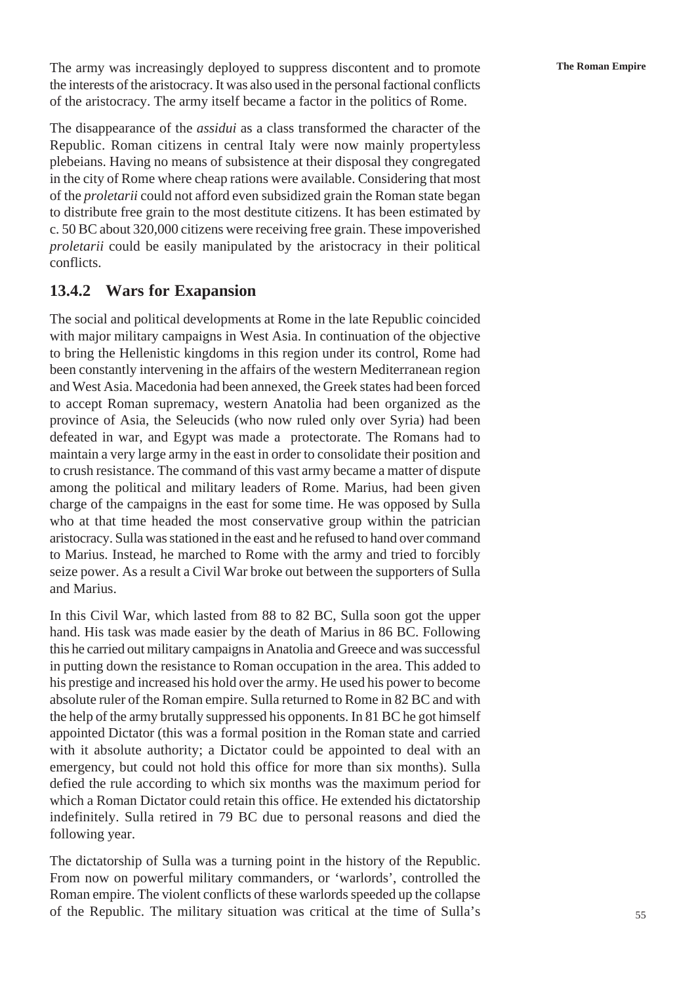The army was increasingly deployed to suppress discontent and to promote **The Roman Empire** the interests of the aristocracy. It was also used in the personal factional conflicts of the aristocracy. The army itself became a factor in the politics of Rome.

The disappearance of the *assidui* as a class transformed the character of the Republic. Roman citizens in central Italy were now mainly propertyless plebeians. Having no means of subsistence at their disposal they congregated in the city of Rome where cheap rations were available. Considering that most of the *proletarii* could not afford even subsidized grain the Roman state began to distribute free grain to the most destitute citizens. It has been estimated by c. 50 BC about 320,000 citizens were receiving free grain. These impoverished *proletarii* could be easily manipulated by the aristocracy in their political conflicts.

### **13.4.2 Wars for Exapansion**

The social and political developments at Rome in the late Republic coincided with major military campaigns in West Asia. In continuation of the objective to bring the Hellenistic kingdoms in this region under its control, Rome had been constantly intervening in the affairs of the western Mediterranean region and West Asia. Macedonia had been annexed, the Greek states had been forced to accept Roman supremacy, western Anatolia had been organized as the province of Asia, the Seleucids (who now ruled only over Syria) had been defeated in war, and Egypt was made a protectorate. The Romans had to maintain a very large army in the east in order to consolidate their position and to crush resistance. The command of this vast army became a matter of dispute among the political and military leaders of Rome. Marius, had been given charge of the campaigns in the east for some time. He was opposed by Sulla who at that time headed the most conservative group within the patrician aristocracy. Sulla was stationed in the east and he refused to hand over command to Marius. Instead, he marched to Rome with the army and tried to forcibly seize power. As a result a Civil War broke out between the supporters of Sulla and Marius.

In this Civil War, which lasted from 88 to 82 BC, Sulla soon got the upper hand. His task was made easier by the death of Marius in 86 BC. Following this he carried out military campaigns in Anatolia and Greece and was successful in putting down the resistance to Roman occupation in the area. This added to his prestige and increased his hold over the army. He used his power to become absolute ruler of the Roman empire. Sulla returned to Rome in 82 BC and with the help of the army brutally suppressed his opponents. In 81 BC he got himself appointed Dictator (this was a formal position in the Roman state and carried with it absolute authority; a Dictator could be appointed to deal with an emergency, but could not hold this office for more than six months). Sulla defied the rule according to which six months was the maximum period for which a Roman Dictator could retain this office. He extended his dictatorship indefinitely. Sulla retired in 79 BC due to personal reasons and died the following year.

The dictatorship of Sulla was a turning point in the history of the Republic. From now on powerful military commanders, or 'warlords', controlled the Roman empire. The violent conflicts of these warlords speeded up the collapse of the Republic. The military situation was critical at the time of Sulla's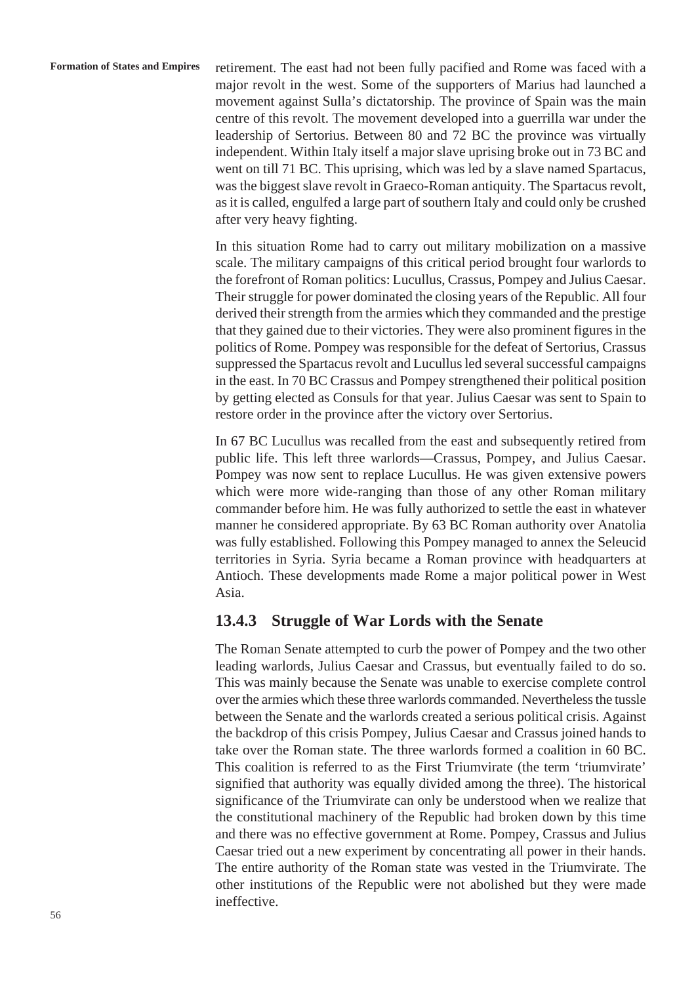**Formation of States and Empires** retirement. The east had not been fully pacified and Rome was faced with a major revolt in the west. Some of the supporters of Marius had launched a movement against Sulla's dictatorship. The province of Spain was the main centre of this revolt. The movement developed into a guerrilla war under the leadership of Sertorius. Between 80 and 72 BC the province was virtually independent. Within Italy itself a major slave uprising broke out in 73 BC and went on till 71 BC. This uprising, which was led by a slave named Spartacus, was the biggest slave revolt in Graeco-Roman antiquity. The Spartacus revolt, as it is called, engulfed a large part of southern Italy and could only be crushed after very heavy fighting.

> In this situation Rome had to carry out military mobilization on a massive scale. The military campaigns of this critical period brought four warlords to the forefront of Roman politics: Lucullus, Crassus, Pompey and Julius Caesar. Their struggle for power dominated the closing years of the Republic. All four derived their strength from the armies which they commanded and the prestige that they gained due to their victories. They were also prominent figures in the politics of Rome. Pompey was responsible for the defeat of Sertorius, Crassus suppressed the Spartacus revolt and Lucullus led several successful campaigns in the east. In 70 BC Crassus and Pompey strengthened their political position by getting elected as Consuls for that year. Julius Caesar was sent to Spain to restore order in the province after the victory over Sertorius.

> In 67 BC Lucullus was recalled from the east and subsequently retired from public life. This left three warlords—Crassus, Pompey, and Julius Caesar. Pompey was now sent to replace Lucullus. He was given extensive powers which were more wide-ranging than those of any other Roman military commander before him. He was fully authorized to settle the east in whatever manner he considered appropriate. By 63 BC Roman authority over Anatolia was fully established. Following this Pompey managed to annex the Seleucid territories in Syria. Syria became a Roman province with headquarters at Antioch. These developments made Rome a major political power in West Asia.

### **13.4.3 Struggle of War Lords with the Senate**

The Roman Senate attempted to curb the power of Pompey and the two other leading warlords, Julius Caesar and Crassus, but eventually failed to do so. This was mainly because the Senate was unable to exercise complete control over the armies which these three warlords commanded. Nevertheless the tussle between the Senate and the warlords created a serious political crisis. Against the backdrop of this crisis Pompey, Julius Caesar and Crassus joined hands to take over the Roman state. The three warlords formed a coalition in 60 BC. This coalition is referred to as the First Triumvirate (the term 'triumvirate' signified that authority was equally divided among the three). The historical significance of the Triumvirate can only be understood when we realize that the constitutional machinery of the Republic had broken down by this time and there was no effective government at Rome. Pompey, Crassus and Julius Caesar tried out a new experiment by concentrating all power in their hands. The entire authority of the Roman state was vested in the Triumvirate. The other institutions of the Republic were not abolished but they were made ineffective.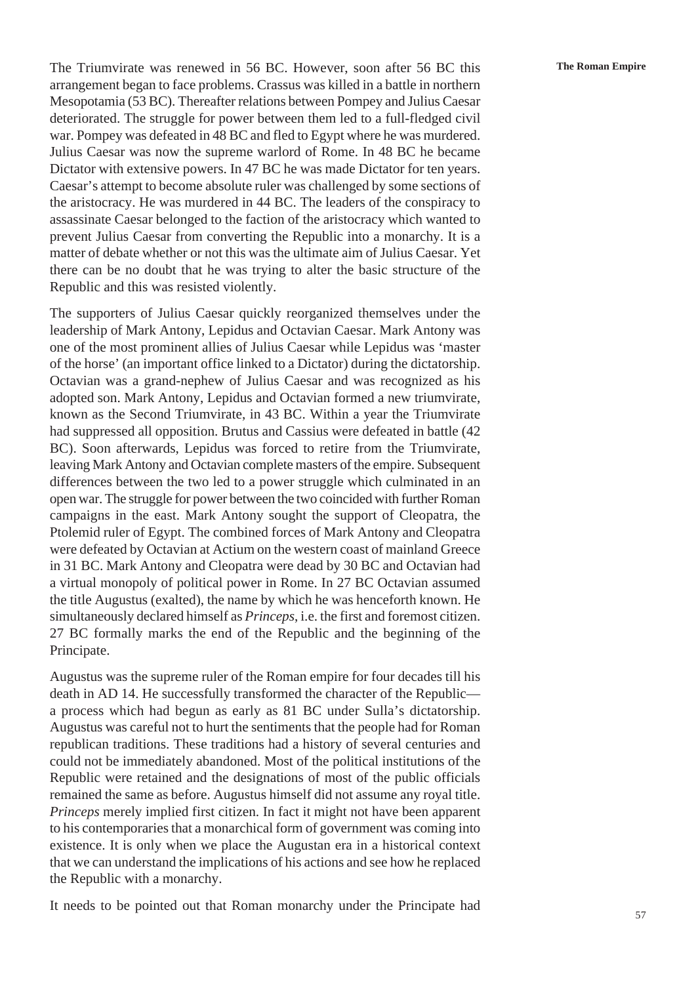The Triumvirate was renewed in 56 BC. However, soon after 56 BC this **The Roman Empire** arrangement began to face problems. Crassus was killed in a battle in northern Mesopotamia (53 BC). Thereafter relations between Pompey and Julius Caesar deteriorated. The struggle for power between them led to a full-fledged civil war. Pompey was defeated in 48 BC and fled to Egypt where he was murdered. Julius Caesar was now the supreme warlord of Rome. In 48 BC he became Dictator with extensive powers. In 47 BC he was made Dictator for ten years. Caesar's attempt to become absolute ruler was challenged by some sections of the aristocracy. He was murdered in 44 BC. The leaders of the conspiracy to assassinate Caesar belonged to the faction of the aristocracy which wanted to prevent Julius Caesar from converting the Republic into a monarchy. It is a matter of debate whether or not this was the ultimate aim of Julius Caesar. Yet there can be no doubt that he was trying to alter the basic structure of the Republic and this was resisted violently.

The supporters of Julius Caesar quickly reorganized themselves under the leadership of Mark Antony, Lepidus and Octavian Caesar. Mark Antony was one of the most prominent allies of Julius Caesar while Lepidus was 'master of the horse' (an important office linked to a Dictator) during the dictatorship. Octavian was a grand-nephew of Julius Caesar and was recognized as his adopted son. Mark Antony, Lepidus and Octavian formed a new triumvirate, known as the Second Triumvirate, in 43 BC. Within a year the Triumvirate had suppressed all opposition. Brutus and Cassius were defeated in battle (42 BC). Soon afterwards, Lepidus was forced to retire from the Triumvirate, leaving Mark Antony and Octavian complete masters of the empire. Subsequent differences between the two led to a power struggle which culminated in an open war. The struggle for power between the two coincided with further Roman campaigns in the east. Mark Antony sought the support of Cleopatra, the Ptolemid ruler of Egypt. The combined forces of Mark Antony and Cleopatra were defeated by Octavian at Actium on the western coast of mainland Greece in 31 BC. Mark Antony and Cleopatra were dead by 30 BC and Octavian had a virtual monopoly of political power in Rome. In 27 BC Octavian assumed the title Augustus (exalted), the name by which he was henceforth known. He simultaneously declared himself as *Princeps*, i.e. the first and foremost citizen. 27 BC formally marks the end of the Republic and the beginning of the Principate.

Augustus was the supreme ruler of the Roman empire for four decades till his death in AD 14. He successfully transformed the character of the Republic a process which had begun as early as 81 BC under Sulla's dictatorship. Augustus was careful not to hurt the sentiments that the people had for Roman republican traditions. These traditions had a history of several centuries and could not be immediately abandoned. Most of the political institutions of the Republic were retained and the designations of most of the public officials remained the same as before. Augustus himself did not assume any royal title. *Princeps* merely implied first citizen. In fact it might not have been apparent to his contemporaries that a monarchical form of government was coming into existence. It is only when we place the Augustan era in a historical context that we can understand the implications of his actions and see how he replaced the Republic with a monarchy.

It needs to be pointed out that Roman monarchy under the Principate had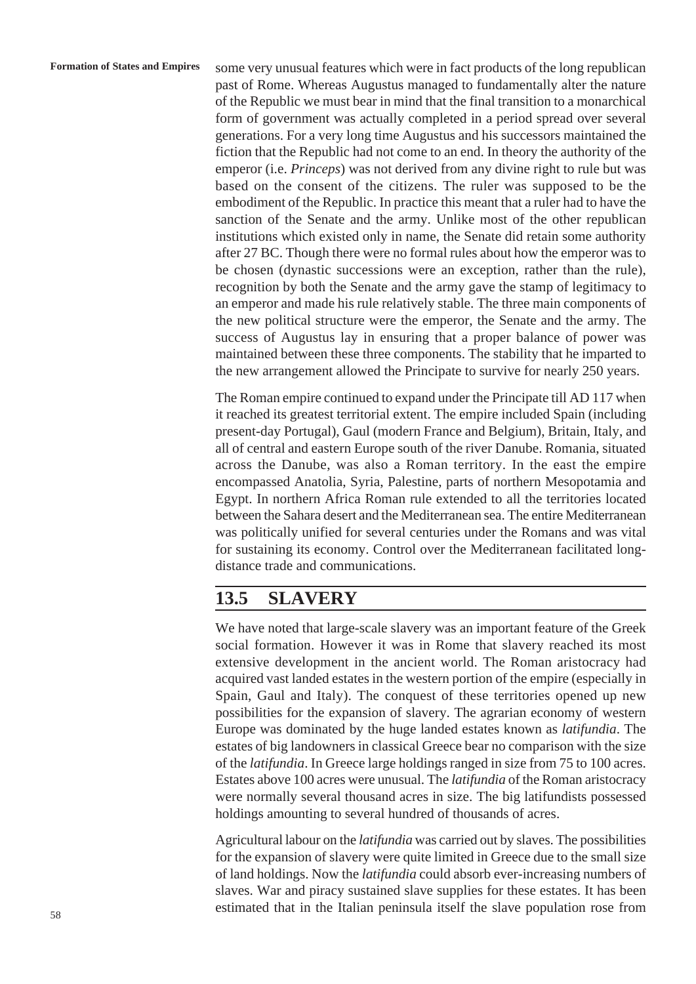some very unusual features which were in fact products of the long republican past of Rome. Whereas Augustus managed to fundamentally alter the nature of the Republic we must bear in mind that the final transition to a monarchical form of government was actually completed in a period spread over several generations. For a very long time Augustus and his successors maintained the fiction that the Republic had not come to an end. In theory the authority of the emperor (i.e. *Princeps*) was not derived from any divine right to rule but was based on the consent of the citizens. The ruler was supposed to be the embodiment of the Republic. In practice this meant that a ruler had to have the sanction of the Senate and the army. Unlike most of the other republican institutions which existed only in name, the Senate did retain some authority after 27 BC. Though there were no formal rules about how the emperor was to be chosen (dynastic successions were an exception, rather than the rule), recognition by both the Senate and the army gave the stamp of legitimacy to an emperor and made his rule relatively stable. The three main components of the new political structure were the emperor, the Senate and the army. The success of Augustus lay in ensuring that a proper balance of power was maintained between these three components. The stability that he imparted to the new arrangement allowed the Principate to survive for nearly 250 years.

The Roman empire continued to expand under the Principate till AD 117 when it reached its greatest territorial extent. The empire included Spain (including present-day Portugal), Gaul (modern France and Belgium), Britain, Italy, and all of central and eastern Europe south of the river Danube. Romania, situated across the Danube, was also a Roman territory. In the east the empire encompassed Anatolia, Syria, Palestine, parts of northern Mesopotamia and Egypt. In northern Africa Roman rule extended to all the territories located between the Sahara desert and the Mediterranean sea. The entire Mediterranean was politically unified for several centuries under the Romans and was vital for sustaining its economy. Control over the Mediterranean facilitated longdistance trade and communications.

# **13.5 SLAVERY**

We have noted that large-scale slavery was an important feature of the Greek social formation. However it was in Rome that slavery reached its most extensive development in the ancient world. The Roman aristocracy had acquired vast landed estates in the western portion of the empire (especially in Spain, Gaul and Italy). The conquest of these territories opened up new possibilities for the expansion of slavery. The agrarian economy of western Europe was dominated by the huge landed estates known as *latifundia*. The estates of big landowners in classical Greece bear no comparison with the size of the *latifundia*. In Greece large holdings ranged in size from 75 to 100 acres. Estates above 100 acres were unusual. The *latifundia* of the Roman aristocracy were normally several thousand acres in size. The big latifundists possessed holdings amounting to several hundred of thousands of acres.

Agricultural labour on the *latifundia* was carried out by slaves. The possibilities for the expansion of slavery were quite limited in Greece due to the small size of land holdings. Now the *latifundia* could absorb ever-increasing numbers of slaves. War and piracy sustained slave supplies for these estates. It has been estimated that in the Italian peninsula itself the slave population rose from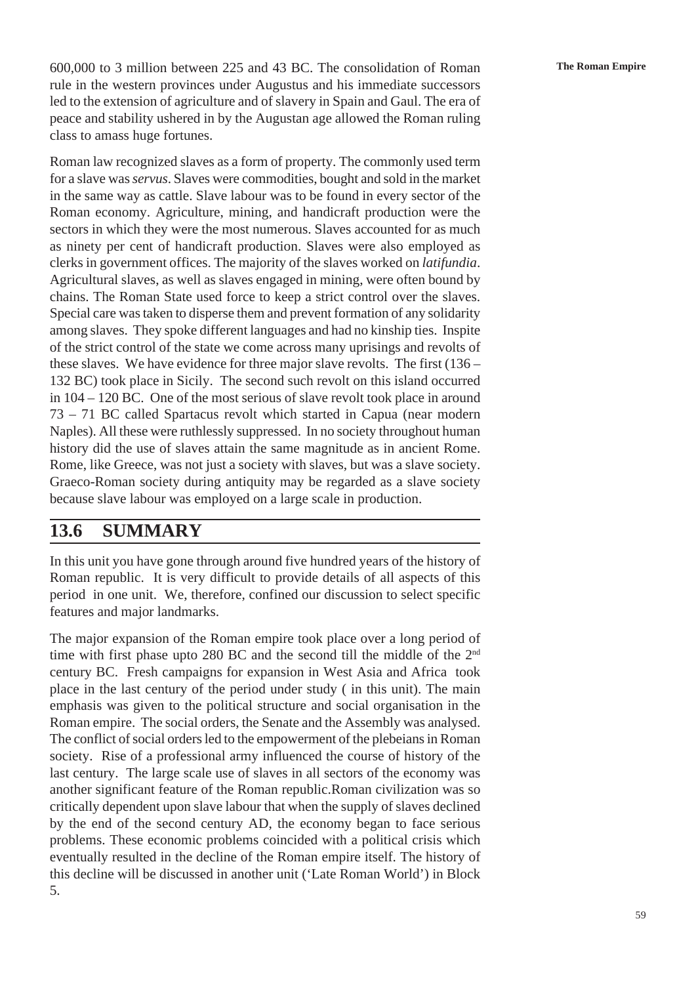600,000 to 3 million between 225 and 43 BC. The consolidation of Roman **The Roman Empire** rule in the western provinces under Augustus and his immediate successors led to the extension of agriculture and of slavery in Spain and Gaul. The era of peace and stability ushered in by the Augustan age allowed the Roman ruling class to amass huge fortunes.

Roman law recognized slaves as a form of property. The commonly used term for a slave was *servus*. Slaves were commodities, bought and sold in the market in the same way as cattle. Slave labour was to be found in every sector of the Roman economy. Agriculture, mining, and handicraft production were the sectors in which they were the most numerous. Slaves accounted for as much as ninety per cent of handicraft production. Slaves were also employed as clerks in government offices. The majority of the slaves worked on *latifundia*. Agricultural slaves, as well as slaves engaged in mining, were often bound by chains. The Roman State used force to keep a strict control over the slaves. Special care was taken to disperse them and prevent formation of any solidarity among slaves. They spoke different languages and had no kinship ties. Inspite of the strict control of the state we come across many uprisings and revolts of these slaves. We have evidence for three major slave revolts. The first (136 – 132 BC) took place in Sicily. The second such revolt on this island occurred in 104 – 120 BC. One of the most serious of slave revolt took place in around 73 – 71 BC called Spartacus revolt which started in Capua (near modern Naples). All these were ruthlessly suppressed. In no society throughout human history did the use of slaves attain the same magnitude as in ancient Rome. Rome, like Greece, was not just a society with slaves, but was a slave society. Graeco-Roman society during antiquity may be regarded as a slave society because slave labour was employed on a large scale in production.

## **13.6 SUMMARY**

In this unit you have gone through around five hundred years of the history of Roman republic. It is very difficult to provide details of all aspects of this period in one unit. We, therefore, confined our discussion to select specific features and major landmarks.

The major expansion of the Roman empire took place over a long period of time with first phase upto 280 BC and the second till the middle of the 2<sup>nd</sup> century BC. Fresh campaigns for expansion in West Asia and Africa took place in the last century of the period under study ( in this unit). The main emphasis was given to the political structure and social organisation in the Roman empire. The social orders, the Senate and the Assembly was analysed. The conflict of social orders led to the empowerment of the plebeians in Roman society. Rise of a professional army influenced the course of history of the last century. The large scale use of slaves in all sectors of the economy was another significant feature of the Roman republic.Roman civilization was so critically dependent upon slave labour that when the supply of slaves declined by the end of the second century AD, the economy began to face serious problems. These economic problems coincided with a political crisis which eventually resulted in the decline of the Roman empire itself. The history of this decline will be discussed in another unit ('Late Roman World') in Block 5.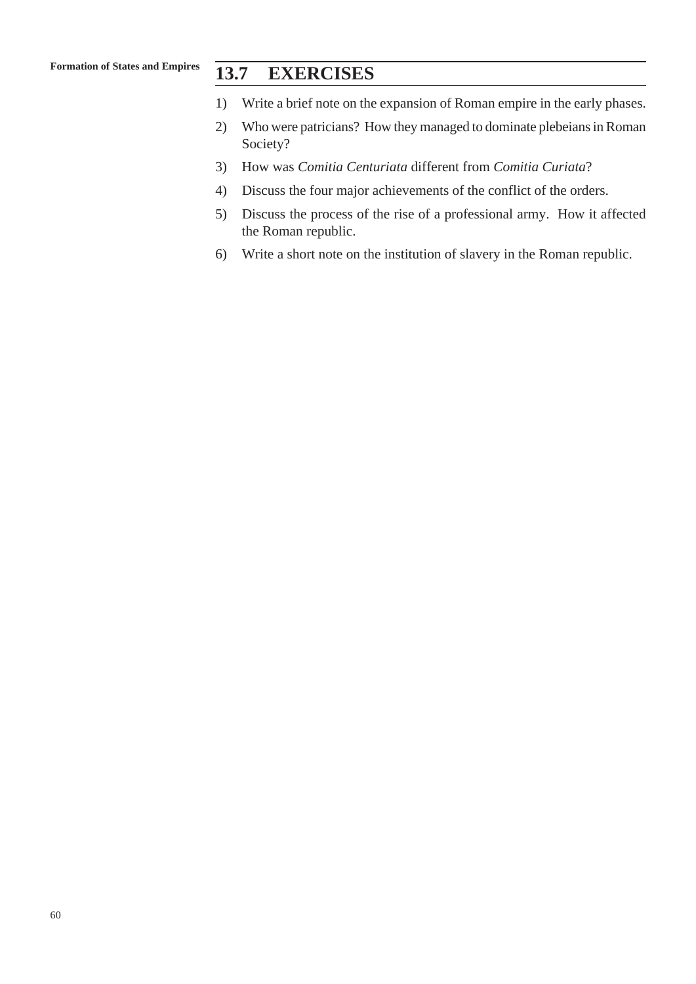## **13.7 EXERCISES**

- 1) Write a brief note on the expansion of Roman empire in the early phases.
- 2) Who were patricians? How they managed to dominate plebeians in Roman Society?
- 3) How was *Comitia Centuriata* different from *Comitia Curiata*?
- 4) Discuss the four major achievements of the conflict of the orders.
- 5) Discuss the process of the rise of a professional army. How it affected the Roman republic.
- 6) Write a short note on the institution of slavery in the Roman republic.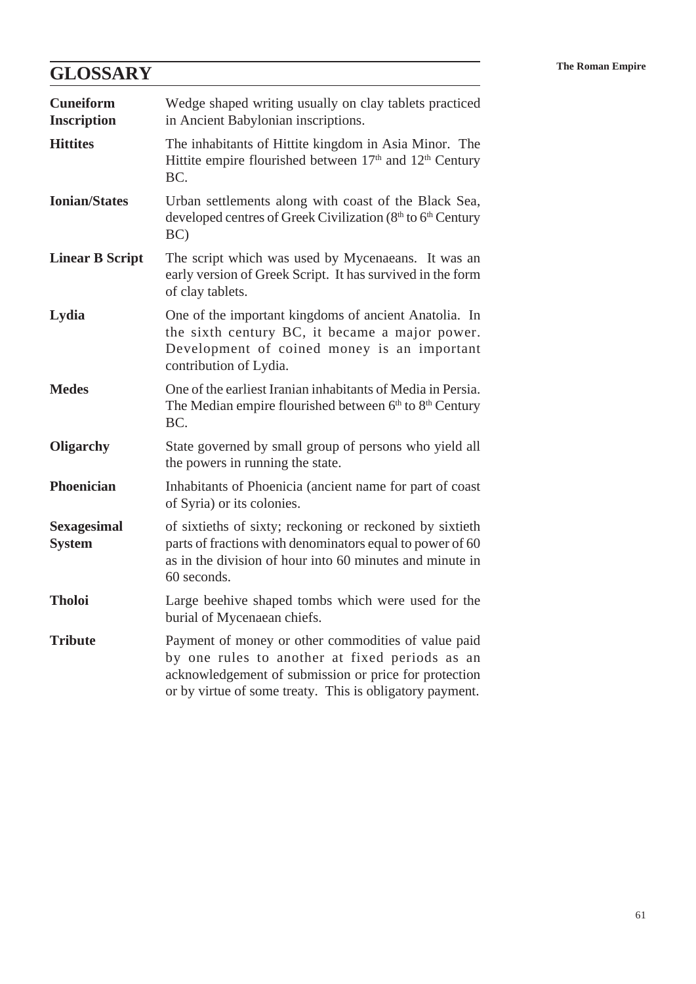# **The Roman Empire The Roman Empire**

| <b>Cuneiform</b><br><b>Inscription</b> | Wedge shaped writing usually on clay tablets practiced<br>in Ancient Babylonian inscriptions.                                                                                                                              |
|----------------------------------------|----------------------------------------------------------------------------------------------------------------------------------------------------------------------------------------------------------------------------|
| <b>Hittites</b>                        | The inhabitants of Hittite kingdom in Asia Minor. The<br>Hittite empire flourished between 17 <sup>th</sup> and 12 <sup>th</sup> Century<br>BC.                                                                            |
| <b>Ionian/States</b>                   | Urban settlements along with coast of the Black Sea,<br>developed centres of Greek Civilization (8 <sup>th</sup> to 6 <sup>th</sup> Century<br>BC)                                                                         |
| <b>Linear B Script</b>                 | The script which was used by Mycenaeans. It was an<br>early version of Greek Script. It has survived in the form<br>of clay tablets.                                                                                       |
| Lydia                                  | One of the important kingdoms of ancient Anatolia. In<br>the sixth century BC, it became a major power.<br>Development of coined money is an important<br>contribution of Lydia.                                           |
| <b>Medes</b>                           | One of the earliest Iranian inhabitants of Media in Persia.<br>The Median empire flourished between 6th to 8th Century<br>BC.                                                                                              |
| <b>Oligarchy</b>                       | State governed by small group of persons who yield all<br>the powers in running the state.                                                                                                                                 |
| <b>Phoenician</b>                      | Inhabitants of Phoenicia (ancient name for part of coast<br>of Syria) or its colonies.                                                                                                                                     |
| <b>Sexagesimal</b><br><b>System</b>    | of sixtieths of sixty; reckoning or reckoned by sixtieth<br>parts of fractions with denominators equal to power of 60<br>as in the division of hour into 60 minutes and minute in<br>60 seconds.                           |
| <b>Tholoi</b>                          | Large beehive shaped tombs which were used for the<br>burial of Mycenaean chiefs.                                                                                                                                          |
| <b>Tribute</b>                         | Payment of money or other commodities of value paid<br>by one rules to another at fixed periods as an<br>acknowledgement of submission or price for protection<br>or by virtue of some treaty. This is obligatory payment. |